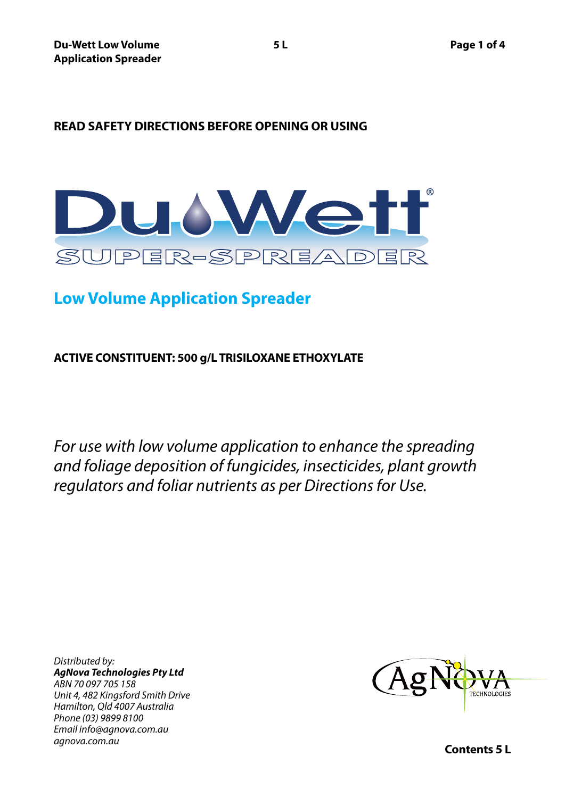# **READ SAFETY DIRECTIONS BEFORE OPENING OR USING**



# **Low Volume Application Spreader**

**ACTIVE CONSTITUENT: 500 g/L TRISILOXANE ETHOXYLATE**

*For use with low volume application to enhance the spreading and foliage deposition of fungicides, insecticides, plant growth regulators and foliar nutrients as per Directions for Use.*

*Distributed by: AgNova Technologies Pty Ltd ABN 70 097 705 158 Unit 4, 482 Kingsford Smith Drive Hamilton, Qld 4007 Australia Phone (03) 9899 8100 Email info@agnova.com.au agnova.com.au*



**Contents 5 L**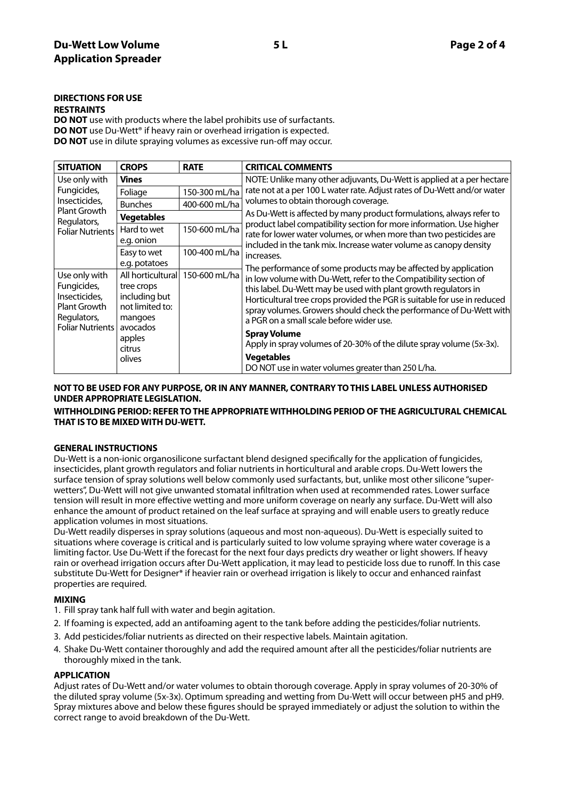# **DIRECTIONS FOR USE**

#### **RESTRAINTS**

**DO NOT** use with products where the label prohibits use of surfactants. **DO NOT** use Du-Wett<sup>®</sup> if heavy rain or overhead irrigation is expected. **DO NOT** use in dilute spraying volumes as excessive run-off may occur.

| <b>SITUATION</b>                                                                                        | <b>CROPS</b>                                                                                                | <b>RATE</b>                                                             | <b>CRITICAL COMMENTS</b>                                                                                                                                                                                                                                                                                                                                                                                                                                                                                                                                                                                                                |
|---------------------------------------------------------------------------------------------------------|-------------------------------------------------------------------------------------------------------------|-------------------------------------------------------------------------|-----------------------------------------------------------------------------------------------------------------------------------------------------------------------------------------------------------------------------------------------------------------------------------------------------------------------------------------------------------------------------------------------------------------------------------------------------------------------------------------------------------------------------------------------------------------------------------------------------------------------------------------|
| Use only with<br>Fungicides,<br>Insecticides,<br>Plant Growth<br>Regulators,<br><b>Foliar Nutrients</b> | <b>Vines</b>                                                                                                |                                                                         | NOTE: Unlike many other adjuvants, Du-Wett is applied at a per hectare                                                                                                                                                                                                                                                                                                                                                                                                                                                                                                                                                                  |
|                                                                                                         | Foliage                                                                                                     | 150-300 mL/ha                                                           | rate not at a per 100 L water rate. Adjust rates of Du-Wett and/or water<br>volumes to obtain thorough coverage.                                                                                                                                                                                                                                                                                                                                                                                                                                                                                                                        |
|                                                                                                         | <b>Bunches</b>                                                                                              | 400-600 mL/ha                                                           |                                                                                                                                                                                                                                                                                                                                                                                                                                                                                                                                                                                                                                         |
|                                                                                                         | <b>Vegetables</b>                                                                                           |                                                                         | As Du-Wett is affected by many product formulations, always refer to                                                                                                                                                                                                                                                                                                                                                                                                                                                                                                                                                                    |
|                                                                                                         | Hard to wet<br>e.g. onion                                                                                   | 150-600 mL/ha                                                           | product label compatibility section for more information. Use higher<br>rate for lower water volumes, or when more than two pesticides are<br>included in the tank mix. Increase water volume as canopy density<br>increases.<br>The performance of some products may be affected by application<br>in low volume with Du-Wett, refer to the Compatibility section of<br>this label. Du-Wett may be used with plant growth regulators in<br>Horticultural tree crops provided the PGR is suitable for use in reduced<br>spray volumes. Growers should check the performance of Du-Wett with<br>a PGR on a small scale before wider use. |
|                                                                                                         | Easy to wet                                                                                                 | 100-400 mL/ha                                                           |                                                                                                                                                                                                                                                                                                                                                                                                                                                                                                                                                                                                                                         |
| Use only with<br>Fungicides,<br>Insecticides,<br>Plant Growth<br>Regulators,<br><b>Foliar Nutrients</b> | e.g. potatoes<br>All horticultural<br>tree crops<br>including but<br>not limited to:<br>mangoes<br>avocados | 150-600 mL/ha                                                           |                                                                                                                                                                                                                                                                                                                                                                                                                                                                                                                                                                                                                                         |
|                                                                                                         | apples<br>citrus                                                                                            |                                                                         | <b>Spray Volume</b><br>Apply in spray volumes of 20-30% of the dilute spray volume (5x-3x).                                                                                                                                                                                                                                                                                                                                                                                                                                                                                                                                             |
|                                                                                                         | olives                                                                                                      | <b>Vegetables</b><br>DO NOT use in water volumes greater than 250 L/ha. |                                                                                                                                                                                                                                                                                                                                                                                                                                                                                                                                                                                                                                         |

# **NOT TO BE USED FOR ANY PURPOSE, OR IN ANY MANNER, CONTRARY TO THIS LABEL UNLESS AUTHORISED UNDER APPROPRIATE LEGISLATION.**

# **WITHHOLDING PERIOD: REFER TO THE APPROPRIATE WITHHOLDING PERIOD OF THE AGRICULTURAL CHEMICAL THAT IS TO BE MIXED WITH DU-WETT.**

# **GENERAL INSTRUCTIONS**

Du-Wett is a non-ionic organosilicone surfactant blend designed specifically for the application of fungicides, insecticides, plant growth regulators and foliar nutrients in horticultural and arable crops. Du-Wett lowers the surface tension of spray solutions well below commonly used surfactants, but, unlike most other silicone "superwetters", Du-Wett will not give unwanted stomatal infiltration when used at recommended rates. Lower surface tension will result in more effective wetting and more uniform coverage on nearly any surface. Du-Wett will also enhance the amount of product retained on the leaf surface at spraying and will enable users to greatly reduce application volumes in most situations.

Du-Wett readily disperses in spray solutions (aqueous and most non-aqueous). Du-Wett is especially suited to situations where coverage is critical and is particularly suited to low volume spraying where water coverage is a limiting factor. Use Du-Wett if the forecast for the next four days predicts dry weather or light showers. If heavy rain or overhead irrigation occurs after Du-Wett application, it may lead to pesticide loss due to runoff. In this case substitute Du-Wett for Designer\* if heavier rain or overhead irrigation is likely to occur and enhanced rainfast properties are required.

# **MIXING**

- 1. Fill spray tank half full with water and begin agitation.
- 2. If foaming is expected, add an antifoaming agent to the tank before adding the pesticides/foliar nutrients.
- 3. Add pesticides/foliar nutrients as directed on their respective labels. Maintain agitation.
- 4. Shake Du-Wett container thoroughly and add the required amount after all the pesticides/foliar nutrients are thoroughly mixed in the tank.

# **APPLICATION**

Adjust rates of Du-Wett and/or water volumes to obtain thorough coverage. Apply in spray volumes of 20-30% of the diluted spray volume (5x-3x). Optimum spreading and wetting from Du-Wett will occur between pH5 and pH9. Spray mixtures above and below these figures should be sprayed immediately or adjust the solution to within the correct range to avoid breakdown of the Du-Wett.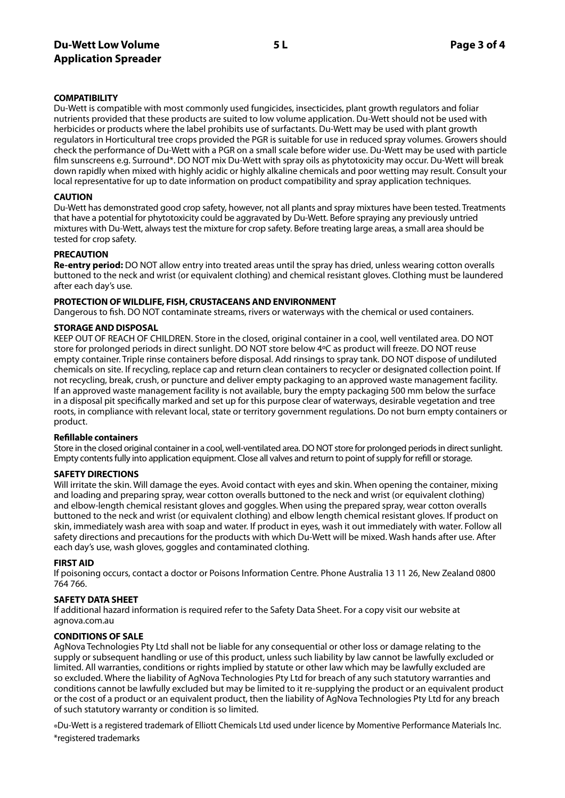# **Du-Wett Low Volume 5 L Page 3 of 4 Application Spreader**

# **COMPATIBILITY**

Du-Wett is compatible with most commonly used fungicides, insecticides, plant growth regulators and foliar nutrients provided that these products are suited to low volume application. Du-Wett should not be used with herbicides or products where the label prohibits use of surfactants. Du-Wett may be used with plant growth regulators in Horticultural tree crops provided the PGR is suitable for use in reduced spray volumes. Growers should check the performance of Du-Wett with a PGR on a small scale before wider use. Du-Wett may be used with particle film sunscreens e.g. Surround\*. DO NOT mix Du-Wett with spray oils as phytotoxicity may occur. Du-Wett will break down rapidly when mixed with highly acidic or highly alkaline chemicals and poor wetting may result. Consult your local representative for up to date information on product compatibility and spray application techniques.

#### **CAUTION**

Du-Wett has demonstrated good crop safety, however, not all plants and spray mixtures have been tested. Treatments that have a potential for phytotoxicity could be aggravated by Du-Wett. Before spraying any previously untried mixtures with Du-Wett, always test the mixture for crop safety. Before treating large areas, a small area should be tested for crop safety.

#### **PRECAUTION**

**Re-entry period:** DO NOT allow entry into treated areas until the spray has dried, unless wearing cotton overalls buttoned to the neck and wrist (or equivalent clothing) and chemical resistant gloves. Clothing must be laundered after each day's use.

#### **PROTECTION OF WILDLIFE, FISH, CRUSTACEANS AND ENVIRONMENT**

Dangerous to fish. DO NOT contaminate streams, rivers or waterways with the chemical or used containers.

#### **STORAGE AND DISPOSAL**

KEEP OUT OF REACH OF CHILDREN. Store in the closed, original container in a cool, well ventilated area. DO NOT store for prolonged periods in direct sunlight. DO NOT store below 4ºC as product will freeze. DO NOT reuse empty container. Triple rinse containers before disposal. Add rinsings to spray tank. DO NOT dispose of undiluted chemicals on site. If recycling, replace cap and return clean containers to recycler or designated collection point. If not recycling, break, crush, or puncture and deliver empty packaging to an approved waste management facility. If an approved waste management facility is not available, bury the empty packaging 500 mm below the surface in a disposal pit specifically marked and set up for this purpose clear of waterways, desirable vegetation and tree roots, in compliance with relevant local, state or territory government regulations. Do not burn empty containers or product.

# **Refillable containers**

Store in the closed original container in a cool, well-ventilated area. DO NOT store for prolonged periods in direct sunlight. Empty contents fully into application equipment. Close all valves and return to point of supply for refill or storage.

# **SAFETY DIRECTIONS**

Will irritate the skin. Will damage the eyes. Avoid contact with eyes and skin. When opening the container, mixing and loading and preparing spray, wear cotton overalls buttoned to the neck and wrist (or equivalent clothing) and elbow-length chemical resistant gloves and goggles. When using the prepared spray, wear cotton overalls buttoned to the neck and wrist (or equivalent clothing) and elbow length chemical resistant gloves. If product on skin, immediately wash area with soap and water. If product in eyes, wash it out immediately with water. Follow all safety directions and precautions for the products with which Du-Wett will be mixed. Wash hands after use. After each day's use, wash gloves, goggles and contaminated clothing.

#### **FIRST AID**

If poisoning occurs, contact a doctor or Poisons Information Centre. Phone Australia 13 11 26, New Zealand 0800 764 766.

# **SAFETY DATA SHEET**

If additional hazard information is required refer to the Safety Data Sheet. For a copy visit our website at agnova.com.au

# **CONDITIONS OF SALE**

AgNova Technologies Pty Ltd shall not be liable for any consequential or other loss or damage relating to the supply or subsequent handling or use of this product, unless such liability by law cannot be lawfully excluded or limited. All warranties, conditions or rights implied by statute or other law which may be lawfully excluded are so excluded. Where the liability of AgNova Technologies Pty Ltd for breach of any such statutory warranties and conditions cannot be lawfully excluded but may be limited to it re-supplying the product or an equivalent product or the cost of a product or an equivalent product, then the liability of AgNova Technologies Pty Ltd for any breach of such statutory warranty or condition is so limited.

®Du-Wett is a registered trademark of Elliott Chemicals Ltd used under licence by Momentive Performance Materials Inc. \*registered trademarks